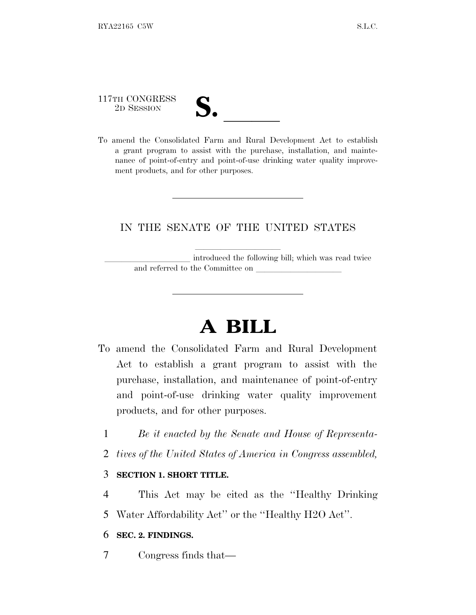# 117TH CONGRESS

117TH CONGRESS<br>
2D SESSION<br>
To amend the Consolidated Farm and Rural Development Act to establish a grant program to assist with the purchase, installation, and maintenance of point-of-entry and point-of-use drinking water quality improvement products, and for other purposes.

### IN THE SENATE OF THE UNITED STATES

introduced the following bill; which was read twice and referred to the Committee on

## **A BILL**

- To amend the Consolidated Farm and Rural Development Act to establish a grant program to assist with the purchase, installation, and maintenance of point-of-entry and point-of-use drinking water quality improvement products, and for other purposes.
	- 1 *Be it enacted by the Senate and House of Representa-*
	- 2 *tives of the United States of America in Congress assembled,*

### 3 **SECTION 1. SHORT TITLE.**

- 4 This Act may be cited as the ''Healthy Drinking
- 5 Water Affordability Act'' or the ''Healthy H2O Act''.

### 6 **SEC. 2. FINDINGS.**

7 Congress finds that—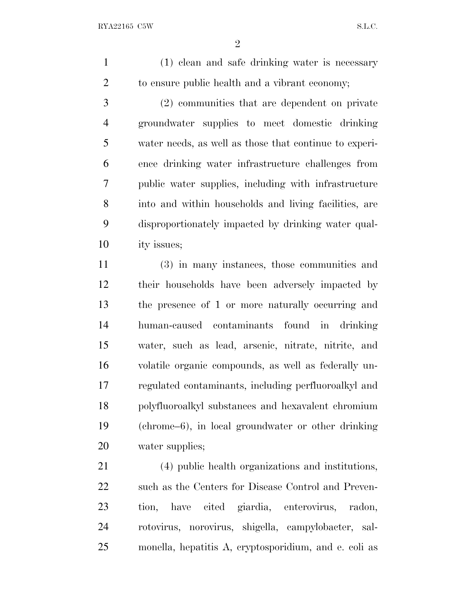(1) clean and safe drinking water is necessary to ensure public health and a vibrant economy;

 (2) communities that are dependent on private groundwater supplies to meet domestic drinking water needs, as well as those that continue to experi- ence drinking water infrastructure challenges from public water supplies, including with infrastructure into and within households and living facilities, are disproportionately impacted by drinking water qual-ity issues;

 (3) in many instances, those communities and their households have been adversely impacted by the presence of 1 or more naturally occurring and human-caused contaminants found in drinking water, such as lead, arsenic, nitrate, nitrite, and volatile organic compounds, as well as federally un- regulated contaminants, including perfluoroalkyl and polyfluoroalkyl substances and hexavalent chromium (chrome–6), in local groundwater or other drinking water supplies;

 (4) public health organizations and institutions, such as the Centers for Disease Control and Preven- tion, have cited giardia, enterovirus, radon, rotovirus, norovirus, shigella, campylobacter, sal-monella, hepatitis A, cryptosporidium, and e. coli as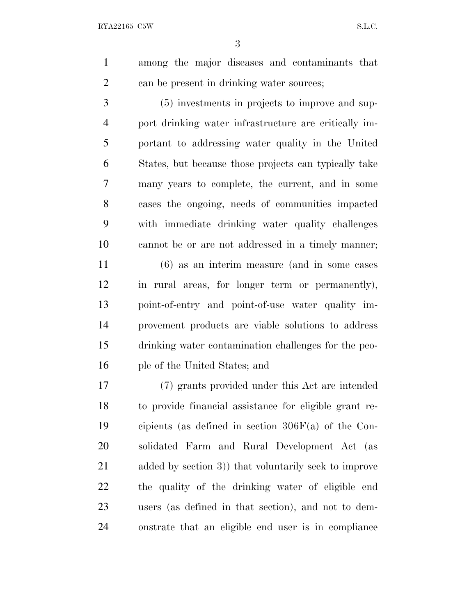RYA22165 C5W S.L.C.

 among the major diseases and contaminants that can be present in drinking water sources;

 (5) investments in projects to improve and sup- port drinking water infrastructure are critically im- portant to addressing water quality in the United States, but because those projects can typically take many years to complete, the current, and in some cases the ongoing, needs of communities impacted with immediate drinking water quality challenges cannot be or are not addressed in a timely manner;

 (6) as an interim measure (and in some cases in rural areas, for longer term or permanently), point-of-entry and point-of-use water quality im- provement products are viable solutions to address drinking water contamination challenges for the peo-ple of the United States; and

 (7) grants provided under this Act are intended to provide financial assistance for eligible grant re- cipients (as defined in section 306F(a) of the Con- solidated Farm and Rural Development Act (as added by section 3)) that voluntarily seek to improve the quality of the drinking water of eligible end users (as defined in that section), and not to dem-onstrate that an eligible end user is in compliance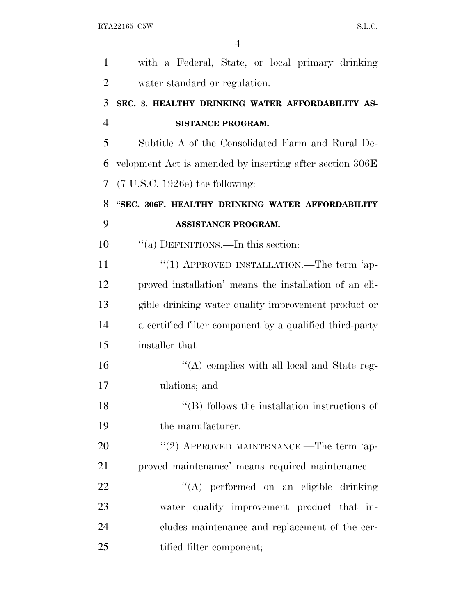| 1              | with a Federal, State, or local primary drinking         |
|----------------|----------------------------------------------------------|
| $\overline{2}$ | water standard or regulation.                            |
| 3              | SEC. 3. HEALTHY DRINKING WATER AFFORDABILITY AS-         |
| $\overline{4}$ | <b>SISTANCE PROGRAM.</b>                                 |
| 5              | Subtitle A of the Consolidated Farm and Rural De-        |
| 6              | velopment Act is amended by inserting after section 306E |
| 7              | $(7 \text{ U.S.C. } 1926e)$ the following:               |
| 8              | "SEC. 306F. HEALTHY DRINKING WATER AFFORDABILITY         |
| 9              | <b>ASSISTANCE PROGRAM.</b>                               |
| 10             | "(a) DEFINITIONS.—In this section:                       |
| 11             | "(1) APPROVED INSTALLATION.—The term 'ap-                |
| 12             | proved installation' means the installation of an eli-   |
| 13             | gible drinking water quality improvement product or      |
| 14             | a certified filter component by a qualified third-party  |
| 15             | installer that—                                          |
| 16             | $\lq\lq$ complies with all local and State reg-          |
| 17             | ulations; and                                            |
| 18             | $\lq\lq (B)$ follows the installation instructions of    |
| 19             | the manufacturer.                                        |
| 20             | "(2) APPROVED MAINTENANCE.—The term 'ap-                 |
| 21             | proved maintenance' means required maintenance—          |
| 22             | "(A) performed on an eligible drinking                   |
| 23             | water quality improvement product that in-               |
| 24             | cludes maintenance and replacement of the cer-           |
| 25             | tified filter component;                                 |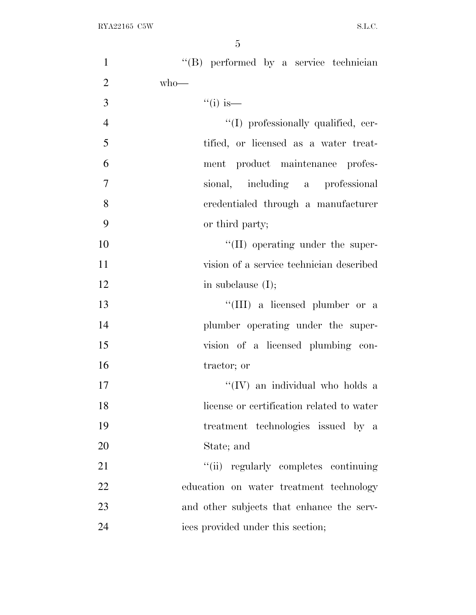| $\mathbf{1}$   | "(B) performed by a service technician    |
|----------------|-------------------------------------------|
| $\overline{2}$ | $who$ —                                   |
| 3              | $``(i)$ is—                               |
| $\overline{4}$ | "(I) professionally qualified, cer-       |
| 5              | tified, or licensed as a water treat-     |
| 6              | ment product maintenance profes-          |
| $\overline{7}$ | sional, including a professional          |
| 8              | credentialed through a manufacturer       |
| 9              | or third party;                           |
| 10             | "(II) operating under the super-          |
| 11             | vision of a service technician described  |
| 12             | in subclause $(I);$                       |
| 13             | "(III) a licensed plumber or a            |
| 14             | plumber operating under the super-        |
| 15             | vision of a licensed plumbing con-        |
| 16             | tractor; or                               |
| 17             | "(IV) an individual who holds a           |
| 18             | license or certification related to water |
| 19             | treatment technologies issued by a        |
| 20             | State; and                                |
| 21             | "(ii) regularly completes continuing      |
| 22             | education on water treatment technology   |
| 23             | and other subjects that enhance the serv- |
| 24             | ices provided under this section;         |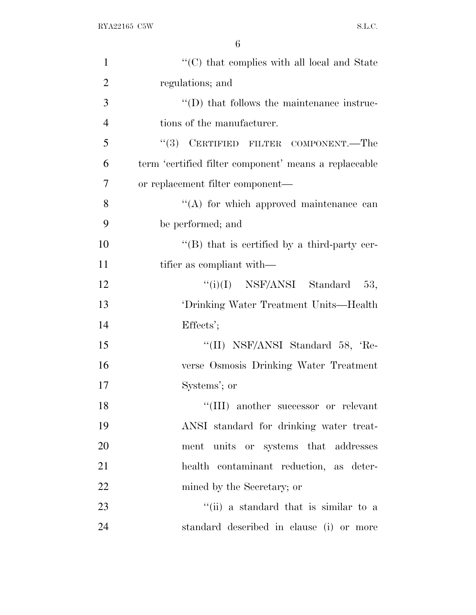| $\mathbf{1}$   | $\lq\lq$ <sup>*</sup> (C) that complies with all local and State |
|----------------|------------------------------------------------------------------|
| $\overline{2}$ | regulations; and                                                 |
| 3              | $\lq\lq$ that follows the maintenance instruc-                   |
| $\overline{4}$ | tions of the manufacturer.                                       |
| 5              | "(3) CERTIFIED FILTER COMPONENT.—The                             |
| 6              | term 'certified filter component' means a replaceable            |
| 7              | or replacement filter component—                                 |
| 8              | $\lq\lq$ for which approved maintenance can                      |
| 9              | be performed; and                                                |
| 10             | $\lq$ (B) that is certified by a third-party cer-                |
| 11             | tifier as compliant with—                                        |
| 12             | " $(i)(I)$ NSF/ANSI Standard 53,                                 |
| 13             | 'Drinking Water Treatment Units—Health                           |
| 14             | Effects';                                                        |
| 15             | "(II) NSF/ANSI Standard 58, 'Re-                                 |
| 16             | verse Osmosis Drinking Water Treatment                           |
| 17             | Systems'; or                                                     |
| 18             | "(III) another successor or relevant                             |
| 19             | ANSI standard for drinking water treat-                          |
| 20             | ment units or systems that addresses                             |
| 21             | health contaminant reduction, as deter-                          |
| 22             | mined by the Secretary; or                                       |
| 23             | "(ii) a standard that is similar to a                            |
| 24             | standard described in clause (i) or more                         |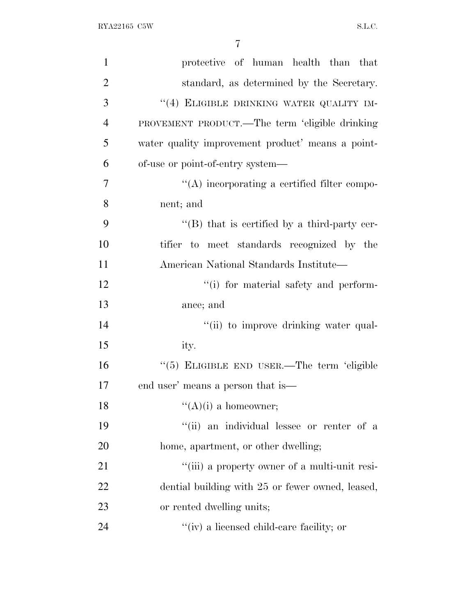| $\mathbf{1}$   | protective of human health than that                 |
|----------------|------------------------------------------------------|
| $\overline{2}$ | standard, as determined by the Secretary.            |
| 3              | "(4) ELIGIBLE DRINKING WATER QUALITY IM-             |
| $\overline{4}$ | PROVEMENT PRODUCT.—The term 'eligible drinking       |
| 5              | water quality improvement product' means a point-    |
| 6              | of-use or point-of-entry system—                     |
| 7              | $\lq\lq$ incorporating a certified filter compo-     |
| 8              | nent; and                                            |
| 9              | $\lq\lq (B)$ that is certified by a third-party cer- |
| 10             | tifier to meet standards recognized by the           |
| 11             | American National Standards Institute—               |
| 12             | "(i) for material safety and perform-                |
| 13             | ance; and                                            |
| 14             | "(ii) to improve drinking water qual-                |
| 15             | ity.                                                 |
| 16             | "(5) ELIGIBLE END USER.—The term 'eligible           |
| 17             | end user' means a person that is—                    |
| 18             | $\lq\lq (A)(i)$ a homeowner;                         |
| 19             | "(ii) an individual lessee or renter of a            |
| 20             | home, apartment, or other dwelling;                  |
| 21             | "(iii) a property owner of a multi-unit resi-        |
| 22             | dential building with 25 or fewer owned, leased,     |
| 23             | or rented dwelling units;                            |
| 24             | $\lq\lq$ (iv) a licensed child-care facility; or     |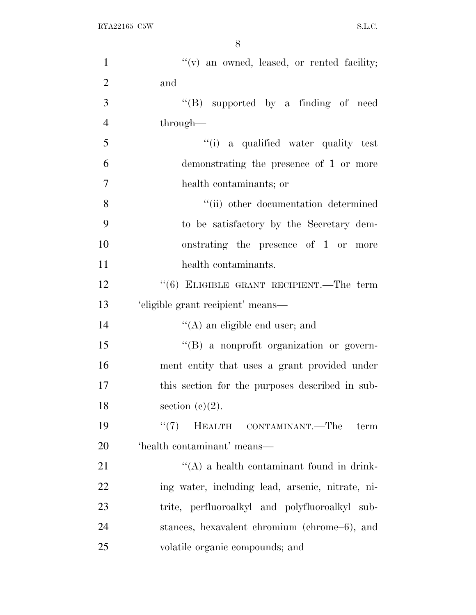RYA22165 C5W S.L.C.

| $\mathbf{1}$   | "(v) an owned, leased, or rented facility;       |
|----------------|--------------------------------------------------|
| $\overline{2}$ | and                                              |
| 3              | "(B) supported by a finding of need              |
| $\overline{4}$ | through—                                         |
| 5              | "(i) a qualified water quality test              |
| 6              | demonstrating the presence of 1 or more          |
| $\overline{7}$ | health contaminants; or                          |
| 8              | "(ii) other documentation determined             |
| 9              | to be satisfactory by the Secretary dem-         |
| 10             | onstrating the presence of 1 or more             |
| 11             | health contaminants.                             |
| 12             | " $(6)$ ELIGIBLE GRANT RECIPIENT.—The term       |
| 13             | 'eligible grant recipient' means—                |
| 14             | $\lq\lq$ (A) an eligible end user; and           |
| 15             | "(B) a nonprofit organization or govern-         |
| 16             | ment entity that uses a grant provided under     |
| 17             | this section for the purposes described in sub-  |
| 18             | section $(c)(2)$ .                               |
| 19             | HEALTH CONTAMINANT.—The<br>(5(7))<br>term        |
| 20             | 'health contaminant' means—                      |
| 21             | $\lq\lq$ a health contaminant found in drink-    |
| 22             | ing water, including lead, arsenic, nitrate, ni- |
| 23             | trite, perfluoroalkyl and polyfluoroalkyl sub-   |
| 24             | stances, hexavalent chromium (chrome–6), and     |
| 25             | volatile organic compounds; and                  |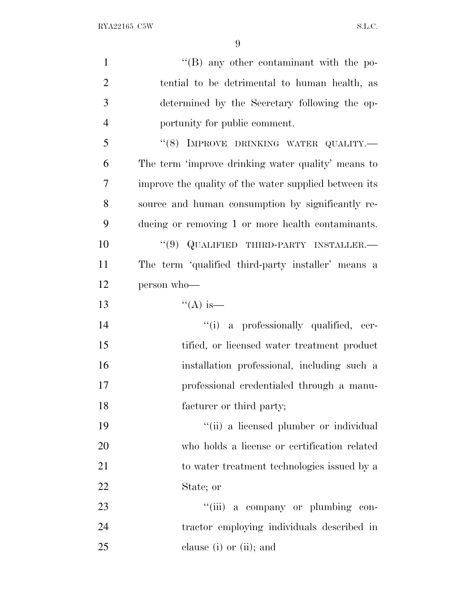| $\mathbf{1}$   | $\lq\lq (B)$ any other contaminant with the po-       |
|----------------|-------------------------------------------------------|
| $\overline{2}$ | tential to be detrimental to human health, as         |
| 3              | determined by the Secretary following the op-         |
| $\overline{4}$ | portunity for public comment.                         |
| 5              | "(8) IMPROVE DRINKING WATER QUALITY.                  |
| 6              | The term 'improve drinking water quality' means to    |
| 7              | improve the quality of the water supplied between its |
| 8              | source and human consumption by significantly re-     |
| 9              | ducing or removing 1 or more health contaminants.     |
| 10             | $``(9)$ QUALIFIED THIRD-PARTY INSTALLER.—             |
| 11             | The term 'qualified third-party installer' means a    |
| 12             | person who-                                           |
| 13             | $\lq($ A) is—                                         |
| 14             | "(i) a professionally qualified, cer-                 |
| 15             | tified, or licensed water treatment product           |
| 16             | installation professional, including such a           |
| 17             | professional credentialed through a manu-             |
| 18             | facturer or third party;                              |
| 19             | "(ii) a licensed plumber or individual                |
| 20             | who holds a license or certification related          |
| 21             | to water treatment technologies issued by a           |
| 22             | State; or                                             |
| 23             | "(iii) a company or plumbing con-                     |
| 24             | tractor employing individuals described in            |
| 25             | clause (i) or (ii); and                               |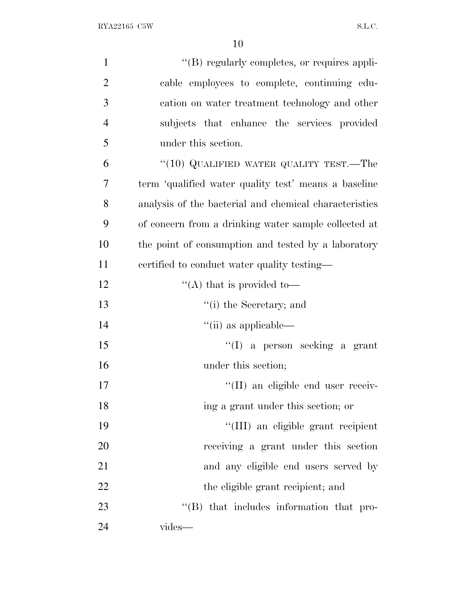| $\mathbf{1}$   | $\lq\lq (B)$ regularly completes, or requires appli-   |
|----------------|--------------------------------------------------------|
| $\overline{2}$ | cable employees to complete, continuing edu-           |
| 3              | cation on water treatment technology and other         |
| $\overline{4}$ | subjects that enhance the services provided            |
| 5              | under this section.                                    |
| 6              | "(10) QUALIFIED WATER QUALITY TEST.—The                |
| 7              | term 'qualified water quality test' means a baseline   |
| 8              | analysis of the bacterial and chemical characteristics |
| 9              | of concern from a drinking water sample collected at   |
| 10             | the point of consumption and tested by a laboratory    |
| 11             | certified to conduct water quality testing—            |
| 12             | "(A) that is provided to $-$                           |
| 13             | "(i) the Secretary; and                                |
| 14             | $\lq\lq$ (ii) as applicable—                           |
| 15             | $\lq\lq$ (I) a person seeking a grant                  |
| 16             | under this section;                                    |
| 17             | "(II) an eligible end user receiv-                     |
| 18             | ing a grant under this section; or                     |
| 19             | "(III) an eligible grant recipient                     |
| 20             | receiving a grant under this section                   |
| 21             | and any eligible end users served by                   |
| 22             | the eligible grant recipient; and                      |
| 23             | "(B) that includes information that pro-               |
| 24             | vides-                                                 |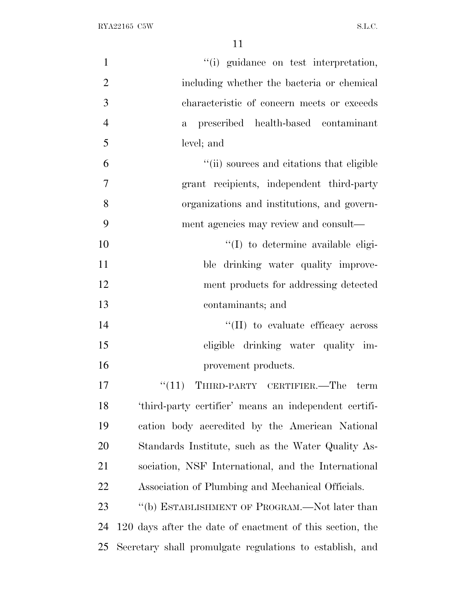| $\mathbf{1}$   | "(i) guidance on test interpretation,                     |
|----------------|-----------------------------------------------------------|
| $\overline{2}$ | including whether the bacteria or chemical                |
| 3              | characteristic of concern meets or exceeds                |
| $\overline{4}$ | prescribed health-based contaminant<br>$\mathbf{a}$       |
| 5              | level; and                                                |
| 6              | "(ii) sources and citations that eligible                 |
| $\overline{7}$ | grant recipients, independent third-party                 |
| 8              | organizations and institutions, and govern-               |
| 9              | ment agencies may review and consult—                     |
| 10             | "(I) to determine available eligi-                        |
| 11             | ble drinking water quality improve-                       |
| 12             | ment products for addressing detected                     |
| 13             | contaminants; and                                         |
| 14             | "(II) to evaluate efficacy across                         |
| 15             | eligible drinking water quality im-                       |
| 16             | provement products.                                       |
| 17             | THIRD-PARTY CERTIFIER.—The term<br>``(11)                 |
| 18             | 'third-party certifier' means an independent certifi-     |
| 19             | cation body accredited by the American National           |
| 20             | Standards Institute, such as the Water Quality As-        |
| 21             | sociation, NSF International, and the International       |
| 22             | Association of Plumbing and Mechanical Officials.         |
| 23             | "(b) ESTABLISHMENT OF PROGRAM.—Not later than             |
| 24             | 120 days after the date of enactment of this section, the |
| 25             | Secretary shall promulgate regulations to establish, and  |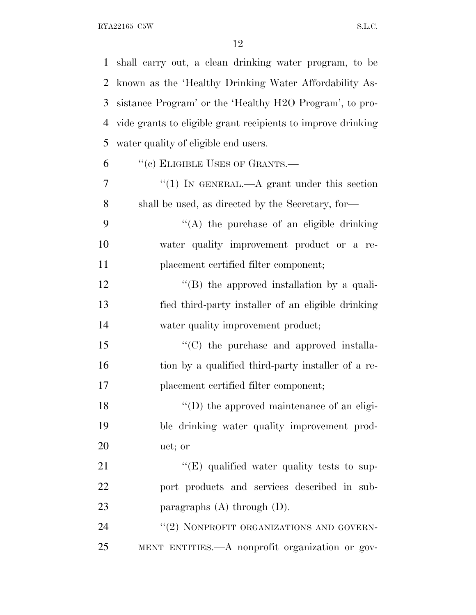| $\mathbf{1}$ | shall carry out, a clean drinking water program, to be       |
|--------------|--------------------------------------------------------------|
| 2            | known as the 'Healthy Drinking Water Affordability As-       |
| 3            | sistance Program' or the 'Healthy H2O Program', to pro-      |
| 4            | vide grants to eligible grant recipients to improve drinking |
| 5            | water quality of eligible end users.                         |
| 6            | "(c) ELIGIBLE USES OF GRANTS.—                               |
| 7            | "(1) IN GENERAL.—A grant under this section                  |
| 8            | shall be used, as directed by the Secretary, for-            |
| 9            | $\lq\lq$ the purchase of an eligible drinking                |
| 10           | water quality improvement product or a re-                   |
| 11           | placement certified filter component;                        |
| 12           | $\lq\lq$ the approved installation by a quali-               |
| 13           | fied third-party installer of an eligible drinking           |
| 14           | water quality improvement product;                           |
| 15           | $\cdot$ (C) the purchase and approved installa-              |
| 16           | tion by a qualified third-party installer of a re-           |
| 17           | placement certified filter component;                        |
| 18           | $\lq\lq$ (D) the approved maintenance of an eligi-           |
| 19           | ble drinking water quality improvement prod-                 |
| 20           | uct; or                                                      |
| 21           | $\lq\lq(E)$ qualified water quality tests to sup-            |
| 22           | port products and services described in sub-                 |
| 23           | paragraphs $(A)$ through $(D)$ .                             |
| 24           | "(2) NONPROFIT ORGANIZATIONS AND GOVERN-                     |
| 25           | MENT ENTITIES.—A nonprofit organization or gov-              |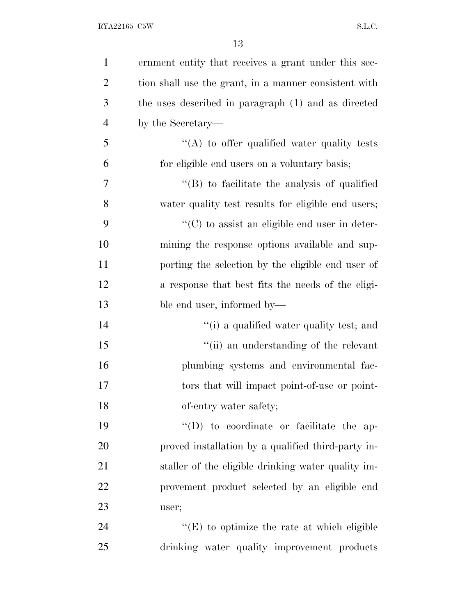| $\mathbf{1}$   | ernment entity that receives a grant under this sec-  |
|----------------|-------------------------------------------------------|
| $\overline{2}$ | tion shall use the grant, in a manner consistent with |
| 3              | the uses described in paragraph (1) and as directed   |
| $\overline{4}$ | by the Secretary—                                     |
| 5              | "(A) to offer qualified water quality tests           |
| 6              | for eligible end users on a voluntary basis;          |
| 7              | $\lq\lq$ to facilitate the analysis of qualified      |
| 8              | water quality test results for eligible end users;    |
| 9              | $\lq\lq$ (C) to assist an eligible end user in deter- |
| 10             | mining the response options available and sup-        |
| 11             | porting the selection by the eligible end user of     |
| 12             | a response that best fits the needs of the eligi-     |
| 13             | ble end user, informed by—                            |
| 14             | "(i) a qualified water quality test; and              |
| 15             | "(ii) an understanding of the relevant                |
| 16             | plumbing systems and environmental fac-               |
| 17             | tors that will impact point-of-use or point-          |
| 18             | of-entry water safety;                                |
| 19             | $\lq\lq$ to coordinate or facilitate the ap-          |
| 20             | proved installation by a qualified third-party in-    |
| 21             | staller of the eligible drinking water quality im-    |
| 22             | provement product selected by an eligible end         |
| 23             | user;                                                 |
| 24             | "(E) to optimize the rate at which eligible           |
| 25             | drinking water quality improvement products           |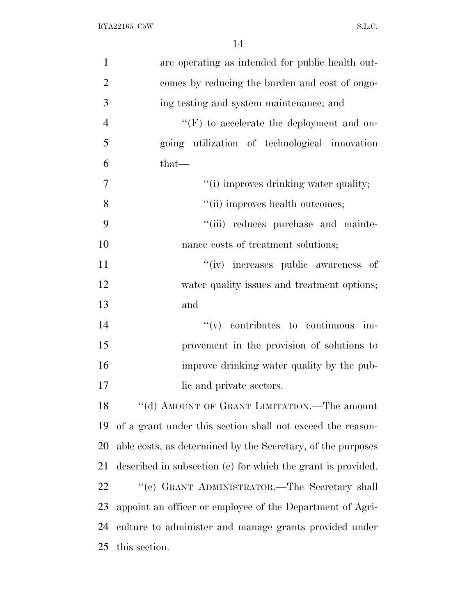| $\mathbf{1}$   | are operating as intended for public health out-             |
|----------------|--------------------------------------------------------------|
| $\overline{2}$ | comes by reducing the burden and cost of ongo-               |
| 3              | ing testing and system maintenance; and                      |
| $\overline{4}$ | $\lq\lq(F)$ to accelerate the deployment and on-             |
| 5              | going utilization of technological innovation                |
| 6              | $that-$                                                      |
| $\overline{7}$ | "(i) improves drinking water quality;                        |
| 8              | "(ii) improves health outcomes;                              |
| 9              | "(iii) reduces purchase and mainte-                          |
| 10             | nance costs of treatment solutions;                          |
| 11             | "(iv) increases public awareness of                          |
| 12             | water quality issues and treatment options;                  |
| 13             | and                                                          |
| 14             | $f'(v)$ contributes to continuous im-                        |
| 15             | provement in the provision of solutions to                   |
| 16             | improve drinking water quality by the pub-                   |
| 17             | lic and private sectors.                                     |
| 18             | "(d) AMOUNT OF GRANT LIMITATION.—The amount                  |
| 19             | of a grant under this section shall not exceed the reason-   |
| 20             | able costs, as determined by the Secretary, of the purposes  |
| 21             | described in subsection (c) for which the grant is provided. |
| 22             | "(e) GRANT ADMINISTRATOR.—The Secretary shall                |
| 23             | appoint an officer or employee of the Department of Agri-    |
| 24             | culture to administer and manage grants provided under       |
| 25             | this section.                                                |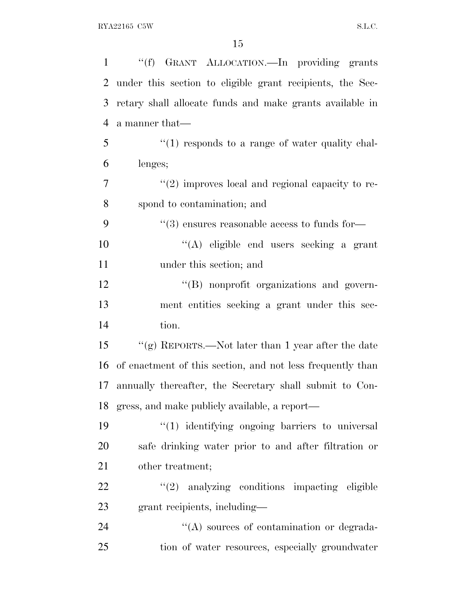| $\mathbf{1}$   | "(f) GRANT ALLOCATION.—In providing grants                 |
|----------------|------------------------------------------------------------|
| $\overline{2}$ | under this section to eligible grant recipients, the Sec-  |
| 3              | retary shall allocate funds and make grants available in   |
| $\overline{4}$ | a manner that—                                             |
| 5              | $\lq(1)$ responds to a range of water quality chal-        |
| 6              | lenges;                                                    |
| 7              | $"(2)$ improves local and regional capacity to re-         |
| 8              | spond to contamination; and                                |
| 9              | $``(3)$ ensures reasonable access to funds for—            |
| 10             | "(A) eligible end users seeking a grant                    |
| 11             | under this section; and                                    |
| 12             | "(B) nonprofit organizations and govern-                   |
| 13             | ment entities seeking a grant under this sec-              |
| 14             | tion.                                                      |
| 15             | "(g) REPORTS.—Not later than 1 year after the date         |
| 16             | of enactment of this section, and not less frequently than |
| 17             | annually thereafter, the Secretary shall submit to Con-    |
|                | 18 gress, and make publicly available, a report—           |
| 19             | "(1) identifying ongoing barriers to universal             |
| 20             | safe drinking water prior to and after filtration or       |
| 21             | other treatment;                                           |
| 22             | $"(2)$ analyzing conditions impacting eligible             |
| 23             | grant recipients, including—                               |
| 24             | $\lq\lq$ sources of contamination or degrada-              |
| 25             | tion of water resources, especially groundwater            |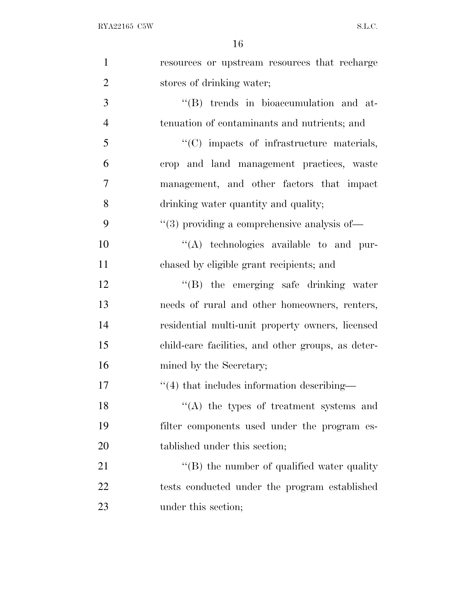| $\mathbf{1}$   | resources or upstream resources that recharge      |
|----------------|----------------------------------------------------|
| $\overline{2}$ | stores of drinking water;                          |
| 3              | "(B) trends in bioaccumulation and at-             |
| $\overline{4}$ | tenuation of contaminants and nutrients; and       |
| 5              | "(C) impacts of infrastructure materials,          |
| 6              | crop and land management practices, waste          |
| $\overline{7}$ | management, and other factors that impact          |
| 8              | drinking water quantity and quality;               |
| 9              | $``(3)$ providing a comprehensive analysis of-     |
| 10             | "(A) technologies available to and pur-            |
| 11             | chased by eligible grant recipients; and           |
| 12             | "(B) the emerging safe drinking water              |
| 13             | needs of rural and other homeowners, renters,      |
| 14             | residential multi-unit property owners, licensed   |
| 15             | child-care facilities, and other groups, as deter- |
| 16             | mined by the Secretary;                            |
| 17             | $\cdot$ (4) that includes information describing—  |
| 18             | "(A) the types of treatment systems and            |
| 19             | filter components used under the program es-       |
| 20             | tablished under this section;                      |
| 21             | $\lq\lq$ the number of qualified water quality     |
| 22             | tests conducted under the program established      |
| 23             | under this section;                                |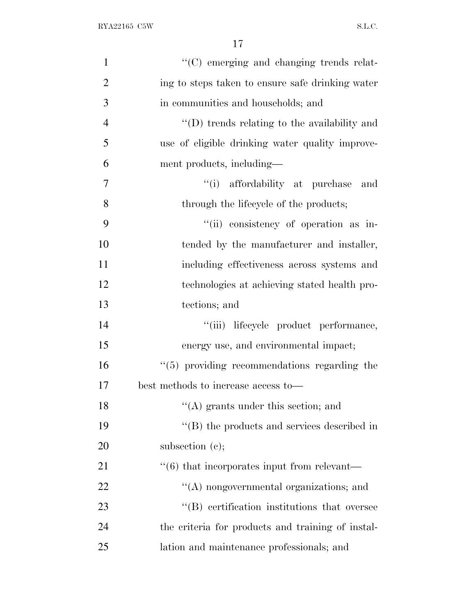| $\mathbf{1}$   | "(C) emerging and changing trends relat-                    |
|----------------|-------------------------------------------------------------|
| $\overline{2}$ | ing to steps taken to ensure safe drinking water            |
| 3              | in communities and households; and                          |
| 4              | $\lq\lq$ trends relating to the availability and            |
| 5              | use of eligible drinking water quality improve-             |
| 6              | ment products, including—                                   |
| 7              | "(i) affordability at purchase and                          |
| 8              | through the lifecycle of the products;                      |
| 9              | "(ii) consistency of operation as in-                       |
| 10             | tended by the manufacturer and installer,                   |
| 11             | including effectiveness across systems and                  |
| 12             | technologies at achieving stated health pro-                |
| 13             | tections; and                                               |
| 14             | "(iii) lifecycle product performance,                       |
| 15             | energy use, and environmental impact;                       |
| 16             | $"$ (5) providing recommendations regarding the             |
| 17             | best methods to increase access to-                         |
| 18             | $\lq\lq(A)$ grants under this section; and                  |
| 19             | $\lq\lq$ the products and services described in             |
| 20             | subsection $(c)$ ;                                          |
| 21             | $\cdot\cdot\cdot(6)$ that incorporates input from relevant— |
| 22             | "(A) nongovernmental organizations; and                     |
| 23             | "(B) certification institutions that oversee                |
| 24             | the criteria for products and training of instal-           |
| 25             | lation and maintenance professionals; and                   |